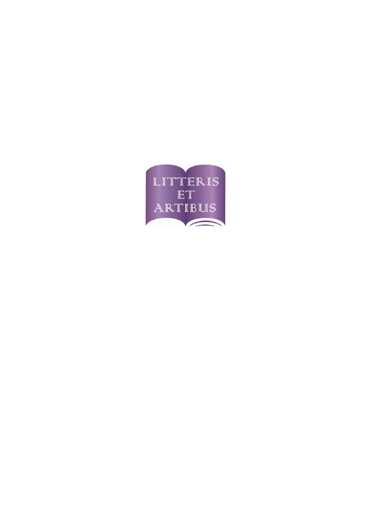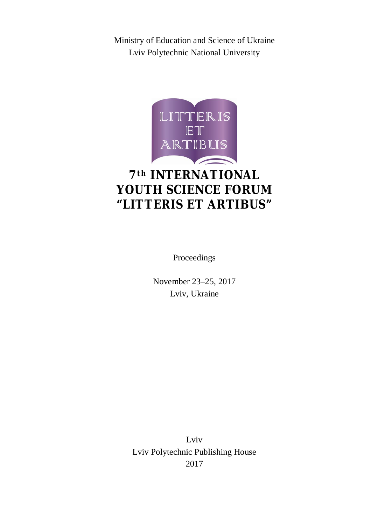Ministry of Education and Science of Ukraine Lviv Polytechnic National University



# $7<sup>th</sup> INTERNATIONAL$ **YOUTH SCIENCE FORUM "LITTERIS ET ARTIBUS"**

Proceedings

November 23–25, 2017 Lviv, Ukraine

Lviv Lviv Polytechnic Publishing House 2017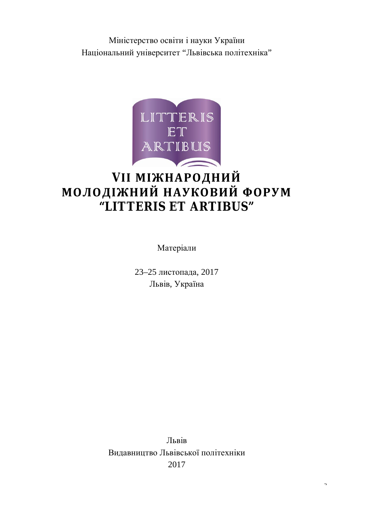Міністерство освіти і науки України Національний університет "Львівська політехніка"



# **VІІ МІЖНАРОДНИЙ МОЛОДІЖНИЙ НАУКОВИЙ ФОРУМ "LITTERIS ET ARTIBUS"**

Матеріали

23–25 листопада, 2017 Львів, Україна

Львів Видавництво Львівської політехніки 2017

 $\overline{2}$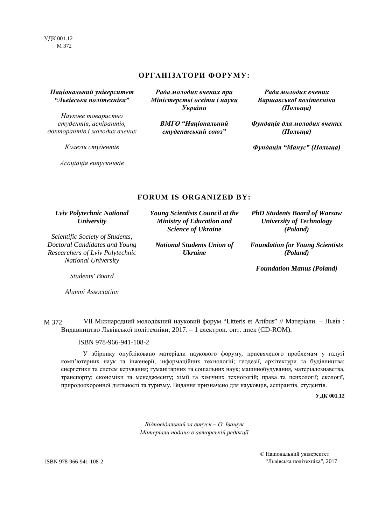УДК 001.12 М 372

## **ОРГАНІЗАТОРИ ФОРУМУ:**

# *Національний університет "Львівська політехніка"*

*Наукове товариство студентів, аспірантів, докторантів і молодих вчених*

*Колегія студентів* 

*Асоціація випускників*

*Рада молодих вчених при Міністерстві освіти і науки України*

> *ВМГО "Національний студентський союз"*

*Рада молодих вчених Варшавської політехніки (Польща)* 

*Фундація для молодих вчених (Польща)* 

*Фундація "Манус" (Польща)*

# **FORUM IS ORGANIZED BY:**

*Lviv Polytechnic National University* 

*Scientific Society of Students, Doctoral Candidates and Young Researchers of Lviv Polytechnic National University* 

*Young Scientists Council at the Ministry of Education and Science of Ukraine* 

*National Students Union of Ukraine*

*PhD Students Board of Warsaw University of Technology (Poland)* 

*Foundation for Young Scientists (Poland)* 

*Foundation Manus (Poland)*

*Students' Board* 

*Alumni Association*

VІI Міжнародний молодіжний науковий форум "Litteris et Artibus" // Матеріали. – Львів : Видавництво Львівської політехніки, 2017. – 1 електрон. опт. диск (CD-ROM). М 372

ISBN 978-966-941-108-2

У збірнику опубліковано матеріали наукового форуму, присвяченого проблемам у галузі комп'ютерних наук та інженерії, інформаційних технологій; геодезії, архітектури та будівництва; енергетики та систем керування; гуманітарних та соціальних наук; машинобудування, матеріалознавства, транспорту; економіки та менеджменту; хімії та хімічних технологій; права та психології; екології, природоохоронної діяльності та туризму. Видання призначено для науковців, аспірантів, студентів.

**УДК 001.12** 

*Відповідальний за випуск – О. Іващук Матеріали подано в авторській редакції*

© Національний університет ISBN 978-966-941-108-2 "Львівська політехніка", 2017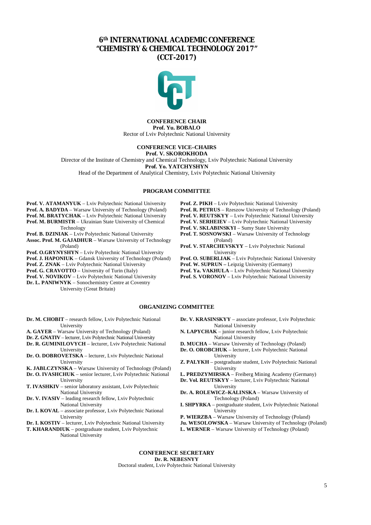# **6th INTERNATIONAL ACADEMIC CONFERENCE "CHEMISTRY & CHEMICAL TECHNOLOGY 2017" (CCT-2017)**



#### **CONFERENCE CHAIR Prof. Yu. BOBALO** Rector of Lviv Polytechnic National University

#### **CONFERENCE VICE–CHAIRS Prof. V. SKOROKHODA**

Director of the Institute of Chemistry and Chemical Technology, Lviv Polytechnic National University

**Prof. Yo. YATCHYSHYN**

Head of the Department of Analytical Chemistry, Lviv Polytechnic National University

#### **PROGRAM COMMITTEE**

**Prof. V. ATAMANYUK** – Lviv Polytechnic National University **Prof. A. BADYDA** – Warsaw University of Technology (Poland) **Prof. M. BRATYCHAK** – Lviv Polytechnic National University **Prof. M. BURMISTR** – Ukrainian State University of Chemical Technology

**Prof. B. DZINIAK** – Lviv Polytechnic National University

**Assoc. Prof. M. GAJADHUR** – Warsaw University of Technology (Poland)

- **Prof. O.GRYNYSHYN**  Lviv Polytechnic National University
- **Prof. J. HAPONIUK**  Gdansk University of Technology (Poland)

**Prof. Z. ZNAK** – Lviv Polytechnic National University

**Prof. G. CRAVOTTO** – University of Turin (Italy)

**Prof. V. NOVIKOV** – Lviv Polytechnic National University

**Dr. L. PANIWNYK** – Sonochemistry Centre at Coventry University (Great Britain)

- **Prof. Z. PIKH**  Lviv Polytechnic National University
- **Prof. R. PETRUS** Rzeszow University of Technology (Poland)
- **Prof. V. REUTSKYY**  Lviv Polytechnic National University
- **Prof. V. SERHEIEV**  Lviv Polytechnic National University
- **Prof. V. SKLABINSKYI**  Sumy State University
- **Prof. T. SOSNOWSKI**  Warsaw University of Technology (Poland)
- **Prof. V. STARCHEVSKYY**  Lviv Polytechnic National University

**Prof. O. SUBERLIAK** – Lviv Polytechnic National University

Prof. W. SUPRUN - Leipzig University (Germany)

**Prof. Ya. VAKHULA** – Lviv Polytechnic National University **Prof. S. VORONOV** – Lviv Polytechnic National University

### **ORGANIZING COMMITTEE**

- **Dr. M. CHOBIT** research fellow, Lviv Polytechnic National University
- **A. GAYER** Warsaw University of Technology (Poland)
- **Dr. Z. GNATIV** lecturer, Lviv Polytechnic National University
- **Dr. R. GUMINILOVYCH** lecturer, Lviv Polytechnic National University
- **Dr. O. DOBROVETSKA** lecturer, Lviv Polytechnic National University
- **K. JABLCZYNSKA** Warsaw University of Technology (Poland) **Dr. O. IVASHCHUK** – senior lecturer, Lviv Polytechnic National
- **University T. IVASHKIV** – senior laboratory assistant, Lviv Polytechnic
- National University
- **Dr. V. IVASIV** leading research fellow, Lviv Polytechnic National University
- **Dr. I. KOVAL** associate professor, Lviv Polytechnic National University
- **Dr. I. KOSTIV** lecturer, Lviv Polytechnic National University

**T. KHARANDIUK** – postgraduate student, Lviv Polytechnic National University

**Dr. V. KRASINSKYY** – associate professor, Lviv Polytechnic National University

- **N. LAPYCHAK** junior research fellow, Lviv Polytechnic National University
- **D. MUCHA** Warsaw University of Technology (Poland) **Dr. O. OROBCHUK** – lecturer, Lviv Polytechnic National
- University
- **Z. PALYKH** postgraduate student, Lviv Polytechnic National **University**

**L. PREDZYMIRSKA** – Freiberg Mining Academy (Germany)

**Dr. Vol. REUTSKYY** – lecturer, Lviv Polytechnic National

- University **Dr. A. ROLEWICZ–KALINSKA** – Warsaw University of Technology (Poland)
- **I. SHPYRKA** postgraduate student, Lviv Polytechnic National **University**
- **P. WIERZBA** Warsaw University of Technology (Poland)
- **Ju. WESOLOWSKA** Warsaw University of Technology (Poland)
- **L. WERNER** Warsaw University of Technology (Poland)

#### **CONFERENCE SECRETARY Dr. R. NEBESNYY** Doctoral student, Lviv Polytechnic National University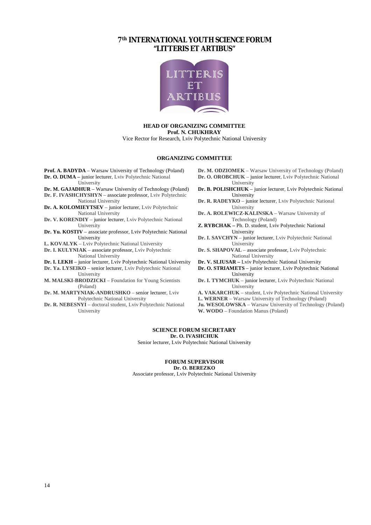# **7th INTERNATIONAL YOUTH SCIENCE FORUM "LITTERIS ET ARTIBUS"**



## **HEAD OF ORGANIZING COMMITTEE Prof. N. CHUKHRAY**

Vice Rector for Research, Lviv Polytechnic National University

#### **ORGANIZING COMMITTEE**

**Prof. A. BADYDA** – Warsaw University of Technology (Poland) **Dr. O. DUMA** – *junior lecturer*, Lviv Polytechnic National

University

- **Dr. M. GAJADHUR**  Warsaw University of Technology (Poland)
- **Dr. F. IVASHCHYSHYN** associate professor, Lviv Polytechnic National University
- **Dr. A. KOLOMIEYTSEV**  junior lecturer, Lviv Polytechnic National University
- **Dr. V. KORENDIY** junior lecturer, Lviv Polytechnic National University
- **Dr. Yu. KOSTIV**  associate professor, Lviv Polytechnic National University

**L. KOVALYK** – Lviv Polytechnic National University

- **Dr. I. KULYNIAK** associate professor, Lviv Polytechnic National University
- **Dr. I. LEKH**  junior lecturer, Lviv Polytechnic National University
- **Dr. Ya. LYSEIKO** senior lecturer, Lviv Polytechnic National University
- **M. MALSKI-BRODZICKI** Foundation for Young Scientists (Poland)
- **Dr. M. MARTYNIAK-ANDRUSHKO** senior lecturer, Lviv Polytechnic National University
- **Dr. R. NEBESNYI**  doctoral student, Lviv Polytechnic National University
- **Dr. M. ODZIOMEK** Warsaw University of Technology (Poland) **Dr. O. OROBCHUK** – junior lecturer, Lviv Polytechnic National
- University **Dr. B. POLISHCHUK** – junior lecturer, Lviv Polytechnic National University
- **Dr. R. RADEYKO** junior lecturer, Lviv Polytechnic National University
- **Dr. A. ROLEWICZ-KALINSKA** Warsaw University of Technology (Poland)
- **Z. RYBCHAK** Ph. D. student, Lviv Polytechnic National University
- **Dr. I. SAVCHYN** junior lecturer, Lviv Polytechnic National **University**
- **Dr. S. SHAPOVAL** associate professor, Lviv Polytechnic National University
- **Dr. V. SLIUSAR** Lviv Polytechnic National University
- **Dr. O. STRIAMETS**  junior lecturer, Lviv Polytechnic National University
- **Dr. I. TYMCHUK** junior lecturer, Lviv Polytechnic National University
- **A. VAKARCHUK**  student, Lviv Polytechnic National University
- **L. WERNER** Warsaw University of Technology (Poland)
- **Ju. WESOLOWSKA** Warsaw University of Technology (Poland) **W. WODO** – Foundation Manus (Poland)

#### **SCIENCE FORUM SECRETARY Dr. O. IVASHCHUK**

Senior lecturer, Lviv Polytechnic National University

#### **FORUM SUPERVISOR Dr. O. BEREZKO**

Associate professor, Lviv Polytechnic National University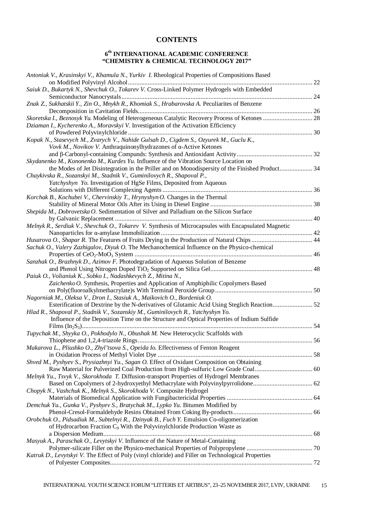# **CONTENTS**

## **6 th INTERNATIONAL ACADEMIC CONFERENCE "CHEMISTRY & CHEMICAL TECHNOLOGY 2017"**

| Antoniuk V., Krasinskyi V., Khamula N., Yurkiv I. Rheological Properties of Compositions Based       |  |
|------------------------------------------------------------------------------------------------------|--|
|                                                                                                      |  |
| Saiuk D., Bukartyk N., Shevchuk O., Tokarev V. Cross-Linked Polymer Hydrogels with Embedded          |  |
|                                                                                                      |  |
| Znak Z., Sukhatskii Y., Zin O., Mnykh R., Khomiak S., Hrabarovska A. Peculiarites of Benzene         |  |
|                                                                                                      |  |
|                                                                                                      |  |
| Dziaman I., Kycherenko A., Moravskyi V. Investigation of the Activation Efficiency                   |  |
|                                                                                                      |  |
| Kopak N., Stasevych M., Zvarych V., Nahide Gulsah D., Cigdem S., Ozyurek M., Guclu K.,               |  |
| Vovk M., Novikov V. Anthraquinonylhydrazones of α-Active Ketones                                     |  |
|                                                                                                      |  |
| Skydanenko M., Kononenko M., Kurdes Yu. Influence of the Vibration Source Location on                |  |
| the Modes of Jet Disintegration in the Priller and on Monodispersity of the Finished Product 34      |  |
| Chaykivska R., Sozanskyi M., Stadnik V., Guminilovych R., Shapoval P.,                               |  |
| Yatchyshyn Yo. Investigation of HgSe Films, Deposited from Aqueous                                   |  |
|                                                                                                      |  |
| Korchak B., Kochubei V., Chervinskiy T., Hrynyshyn O. Changes in the Thermal                         |  |
|                                                                                                      |  |
| Shepida M., Dobrovetska O. Sedimentation of Silver and Palladium on the Silicon Surface              |  |
|                                                                                                      |  |
| Melnyk R., Serdiuk V., Shevchuk O., Tokarev V. Synthesis of Microcapsules with Encapsulated Magnetic |  |
|                                                                                                      |  |
| Husarova O., Shapar R. The Features of Fruits Drying in the Production of Natural Chips  44          |  |
| Sachuk O., Valery Zazhigalov, Diyuk O. The Mechanochemical Influence on the Physico-chemical         |  |
|                                                                                                      |  |
| Sanzhak O., Brazhnyk D., Azimov F. Photodegradation of Aqueous Solution of Benzene                   |  |
|                                                                                                      |  |
| Paiuk O., Volianiuk K., Sobko I., Nadashkevych Z., Mitina N.,                                        |  |
| Zaichenko O. Synthesis, Properties and Application of Amphiphilic Copolymers Based                   |  |
|                                                                                                      |  |
| Nagorniak M., Oleksa V., Dron I., Stasiuk A., Maikovich O., Bordeniuk O.                             |  |
| Hlad R., Shapoval P., Stadnik V., Sozanskiy M., Guminilovych R., Yatchyshyn Yo.                      |  |
| Influence of the Deposition Time on the Structure and Optical Properties of Indium Sulfide           |  |
|                                                                                                      |  |
| Tupychak M., Shyyka O., Pokhodylo N., Obushak M. New Heterocyclic Scaffolds with                     |  |
|                                                                                                      |  |
| Makarova L., Pliushko O., Zhyl'tsova S., Opeida Io. Effectiveness of Fenton Reagent                  |  |
|                                                                                                      |  |
| Shved M., Pyshyev S., Prysiazhnyi Yu., Sagan O. Effect of Oxidant Composition on Obtaining           |  |
|                                                                                                      |  |
| Melnyk Yu., Tsvyk V., Skorokhoda T. Diffusion-transport Properties of Hydrogel Membranes             |  |
|                                                                                                      |  |
| Chopyk N., Vashchuk K., Melnyk S., Skorokhoda V. Composite Hydrogel                                  |  |
|                                                                                                      |  |
| Demchuk Yu., Gunka V., Pyshyev S., Bratychak M., Lypko Yu. Bitumen Modified by                       |  |
|                                                                                                      |  |
| Orobchuk O., Pidsadiuk M., Subtelnyi R., Dzinyak B., Fuch Y. Emulsion Co-oligomerization             |  |
| of Hydrocarbon Fraction C <sub>9</sub> With the Polyvinylchloride Production Waste as                |  |
|                                                                                                      |  |
| Masyuk A., Paraschak O., Levytskyi V. Influence of the Nature of Metal-Containing                    |  |
|                                                                                                      |  |
| Katruk D., Levytskyi V. The Effect of Poly (vinyl chloride) and Filler on Technological Properties   |  |
|                                                                                                      |  |
|                                                                                                      |  |

INTERNATIONAL YOUTH SCIENCE FORUM "LITTERIS ET ARTIBUS", 23–25 NOVEMBER 2017, LVIV, UKRAINE 15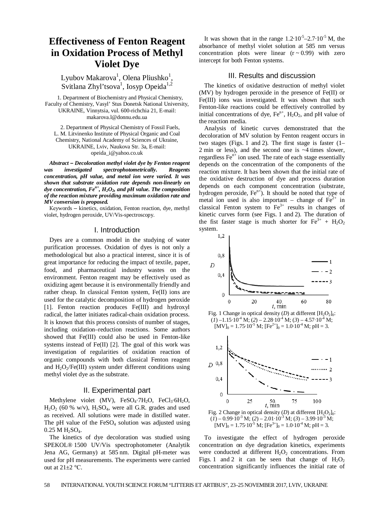# **Effectiveness of Fenton Reagent in Oxidation Process of Methyl Violet Dye**

Lyubov Makarova<sup>1</sup>, Olena Pliushko<sup>1</sup>, Svitlana Zhyl'tsova<sup>1</sup>, Iosyp Opeida<sup>1,2</sup>

1. Department of Biochemistry and Physical Chemistry, Faculty of Chemistry, Vasyl' Stus Donetsk National University, UKRAINE, Vinnytsia, vul. 600-richchia 21, E-mail: makarova.l@donnu.edu.ua

2. Department of Physical Chemistry of Fossil Fuels, L. M. Litvinenko Institute of Physical Organic and Coal Chemistry, National Academy of Sciences of Ukraine, UKRAINE, Lviv, Naukova Str. 3a, E-mail: opeida\_i@yahoo.co.uk

*Abstract – Decoloration methyl violet dye by Fenton reagent was investigated spectrophotometrically. Reagents concentration, pH value, and metal ion were varied. It was shown that substrate oxidation rate depends non-linearly on dye concentration, Fen+, H2O2, and pH value. The composition of the reaction mixture providing maximum oxidation rate and MV conversion is proposed.* 

Кеуwords – kinetics, oxidation, Fenton reaction, dye, methyl violet, hydrogen peroxide, UV/Vis-spectroscopy.

## I. Introduction

Dyes are a common model in the studying of water purification processes. Oxidation of dyes is not only a methodological but also a practical interest, since it is of great importance for reducing the impact of textile, paper, food, and pharmaceutical industry wastes on the environment. Fenton reagent may be effectively used as oxidizing agent because it is environmentally friendly and rather cheap. In classical Fenton system, Fe(II) ions are used for the catalytic decomposition of hydrogen peroxide [1]. Fenton reaction produces Fe(III) and hydroxyl radical, the latter initiates radical-chain oxidation process. It is known that this process consists of number of stages, including oxidation–reduction reactions. Some authors showed that Fe(III) could also be used in Fenton-like systems instead of Fe(II) [2]. The goal of this work was investigation of regularities of oxidation reaction of organic compounds with both classical Fenton reagent and  $H_2O_2/Fe(III)$  system under different conditions using methyl violet dye as the substrate.

## II. Experimental part

Methylene violet (MV),  $FeSO<sub>4</sub>·7H<sub>2</sub>O$ ,  $FeCl<sub>3</sub>·6H<sub>2</sub>O$ ,  $H<sub>2</sub>O<sub>2</sub>$  (60 % w/v),  $H<sub>2</sub>SO<sub>4</sub>$ , were all G.R. grades and used as received. All solutions were made in distilled water. The pH value of the  $FeSO<sub>4</sub>$  solution was adjusted using  $0.25 M H_2SO_4$ .

The kinetics of dye decoloration was studied using SPEKOL® 1500 UV/Vis spectrophotometer (Analytik Jena AG, Germany) at 585 nm. Digital pH-meter was used for pH measurements. The experiments were carried out at  $21\pm2$  °C.

It was shown that in the range  $1.2 \cdot 10^{-5} - 2.7 \cdot 10^{-5}$  M, the absorbance of methyl violet solution at 585 nm versus concentration plots were linear  $(r \sim 0.99)$  with zero intercept for both Fenton systems.

## III. Results and discussion

The kinetics of oxidative destruction of methyl violet (MV) by hydrogen peroxide in the presence of Fe(II) or Fe(III) ions was investigated. It was shown that such Fenton-like reactions could be effectively controlled by initial concentrations of dye,  $Fe<sup>n+</sup>$ ,  $H<sub>2</sub>O<sub>2</sub>$ , and pH value of the reaction media.

Analysis of kinetic curves demonstrated that the decoloration of MV solution by Fenton reagent occurs in two stages (Figs. 1 and 2). The first stage is faster (1– 2 min or less), and the second one is ~4 times slower, regardless  $Fe<sup>n+</sup>$  ion used. The rate of each stage essentially depends on the concentration of the components of the reaction mixture. It has been shown that the initial rate of the oxidative destruction of dye and process duration depends on each component concentration (substrate, hydrogen peroxide,  $Fe^{n+}$ ). It should be noted that type of metal ion used is also important – change of  $Fe^{2+}$  in classical Fenton system to  $Fe<sup>3+</sup>$  results in changes of kinetic curves form (see Figs. 1 and 2). The duration of the fist faster stage is much shorter for  $Fe^{3+} + H_2O_2$ system.







Fig. 2 Change in optical density  $(D)$  at different  $[H_2O_2]_0$ :  $(\overline{(1)} - 0.99 \cdot 10^{-3} \text{ M}; (2) - 2.01 \cdot 10^{-3} \text{ M}; (3) - 3.99 \cdot 10^{-3} \text{ M};$  $[MV]_0 = 1.75 \cdot 10^{-5}$  M;  $[Fe^{3+}]_0 = 1.0 \cdot 10^{-4}$  M;  $pH = 3$ .

To investigate the effect of hydrogen peroxide concentration on dye degradation kinetics, experiments were conducted at different  $H_2O_2$  concentrations. From Figs. 1 and 2 it can be seen that change of  $H_2O_2$ concentration significantly influences the initial rate of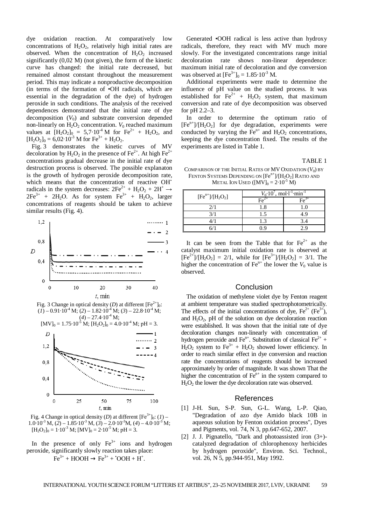dye oxidation reaction. At comparatively low concentrations of  $H_2O_2$ , relatively high initial rates are observed. When the concentration of  $H_2O_2$  increased significantly (0,02 M) (not given), the form of the kinetic curve has changed: the initial rate decreased, but remained almost constant throughout the measurement period. This may indicate a nonproductive decomposition (in terms of the formation of •OH radicals, which are essential in the degradation of the dye) of hydrogen peroxide in such conditions. The analysis of the received dependences demonstrated that the initial rate of dye decomposition  $(V_0)$  and substrate conversion depended non-linearly on  $H_2O_2$  concentration.  $V_0$  reached maximum values at  $[H_2O_2]_0 = 5.7 \cdot 10^{-4}$  M for  $Fe^{2+} + H_2O_2$ , and  $[H_2O_2]_0 = 6{,}02{\cdot}10^{-3}$  M for Fe<sup>3+</sup> + H<sub>2</sub>O<sub>2</sub>.

Fig. 3 demonstrates the kinetic curves of MV decoloration by  $H_2O_2$  in the presence of Fe<sup>2+</sup>. At high Fe<sup>2+</sup> concentrations gradual decrease in the initial rate of dye destruction process is observed. The possible explanaton is the growth of hydrogen peroxide decomposition rate, which means that the concentration of reactive OH<sup>t</sup> radicals in the system decreases:  $2Fe^{2+} + H_2O_2 + 2H^+ \rightarrow$  $2Fe^{3+}$  +  $2H_2O$ . As for system  $Fe^{3+}$  +  $H_2O_2$ , larger concentrations of reagents should be taken to achieve similar results (Fig. 4).



Fig. 3 Change in optical density (*D*) at different  $[Fe^{2+}]_0$ :  $(\overline{(1)} - 0.91 \cdot \overline{10}^{4} \text{ M}; (2) - 1.82 \cdot \overline{10}^{4} \text{ M}; (3) - 22.8 \cdot \overline{10}^{4} \text{ M};$  $(4) - 27.4 \cdot 10^{-4}$  M;





Fig. 4 Change in optical density (*D*) at different  $[Fe^{3+}]_0$ : (*I*) –  $1.0\cdot10^{-3}$  M, (2) –  $1.85\cdot10^{-3}$  M, (3) –  $2.0\cdot10^{-3}$  M, (4) –  $4.0\cdot10^{-3}$  M;  $[H_2O_2]_0 = 1.10^{-3}$  M;  $[MV]_0 = 2.10^{-5}$  M;  $pH = 3$ .

In the presence of only  $Fe<sup>3+</sup>$  ions and hydrogen peroxide, significantly slowly reaction takes place:  $Fe^{3+} + HOOH \rightarrow Fe^{3+} + OOH + H^+.$ 

Generated •OOH radical is less active than hydroxy radicals, therefore, they react with MV much more slowly. For the investigated concentrations range initial decoloration rate shows non-linear dependence: maximum initial rate of decoloration and dye conversion was observed at  $[Fe^{3+}]_0 = 1.85 \cdot 10^{-3}$  M.

Additional experiments were made to determine the influence of pH value on the studied process. It was established for  $Fe^{2+} + H_2O_2$  system, that maximum conversion and rate of dye decomposition was observed for pH 2.2–3.

In order to determine the optimum ratio of  $[Fe<sup>n+</sup>]/[H<sub>2</sub>O<sub>2</sub>]$  for dye degradation, experiments were conducted by varying the  $Fe^{n+}$  and  $H_2O_2$  concentrations, keeping the dye concentration fixed. The results of the experiments are listed in Table 1.

TABLE 1

COMPARISON OF THE INITIAL RATES OF  $MV$  OXIDATION  $(V_0)$  by FENTON SYSTEMS DEPENDING ON  $[Fe^{n+}]/[H_2O_2]$  RATIO AND METAL ION USED  $([MV]_0 = 2 \cdot 10^{-5} M)$ 

| $[Fen+]/[H2O2]$ | $V_0$ 10', mol·l <sup>-1</sup> ·min |     |
|-----------------|-------------------------------------|-----|
|                 |                                     |     |
| 2/1             | .8                                  |     |
|                 | . 5                                 | 4 G |
|                 |                                     |     |
|                 |                                     |     |

It can be seen from the Table that for  $Fe^{2+}$  as the catalyst maximum initial oxidation rate is observed at  $[Fe^{2+}]/[H_2O_2] = 2/1$ , while for  $[Fe^{3+}]/[H_2O_2] = 3/1$ . The higher the concentration of  $\text{Fe}^{n+}$  the lower the  $V_0$  value is observed.

## Conclusion

The oxidation of methylene violet dye by Fenton reagent at ambient temperature was studied spectrophotometrically. The effects of the initial concentrations of dye,  $Fe^{2+} (Fe^{3+})$ , and  $H_2O_2$ , pH of the solution on dye decoloration reaction were established. It was shown that the initial rate of dye decoloration changes non-linearly with concentration of hydrogen peroxide and Fe<sup>n+</sup>. Substitution of classical Fe<sup>2+</sup> +  $H_2O_2$  system to Fe<sup>3+</sup> + H<sub>2</sub>O<sub>2</sub> showed lower efficiency. In order to reach similar effect in dye conversion and reaction rate the concentrations of reagents should be increased approximately by order of magnitude. It was shown That the higher the concentration of  $Fe<sup>n+</sup>$  in the system compared to  $H_2O_2$  the lower the dye decoloration rate was observed.

## **References**

- [1] J-H. Sun, S-P. Sun, G-L. Wang, L-P. Qiao, "Degradation of azo dye Amido black 10B in aqueous solution by Fenton oxidation process", Dyes and Pigments, vol. 74, N 3, pp.647-652, 2007.
- [2] J. J. Pignatello, "Dark and photoassisted iron (3+) catalyzed degradation of chlorophenoxy herbicides by hydrogen peroxide", Environ. Sci. Technol., vol. 26, N 5, pp.944-951, May 1992.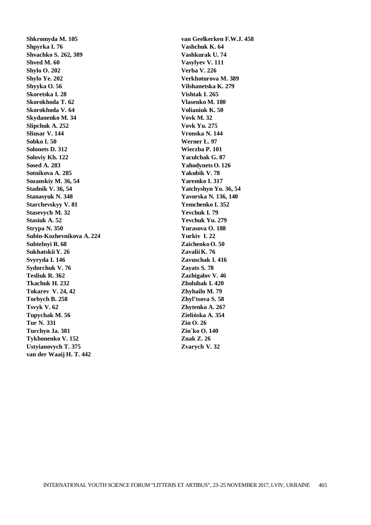**Shkromyda M. 105 Shpyrka I. 76 Shvachko S. 262, 389 Shved M. 60 Shylo O. 202 Shylo Ye. 202 Shyyka O. 56 Skoretska I. 28 Skorokhoda T. 62 Skorokhoda V. 64 Skydanenko M. 34 Slipchuk A. 252 Sliusar V. 144 Sobko I. 50 Solonets D. 312 Soloviy Kh. 122 Sosed A. 283 Sotnikova A. 285 Sozanskiy M. 36, 54 Stadnik V. 36, 54 Stanasyuk N. 348 Starchevskyy V. 81 Stasevych M. 32 Stasiuk A. 52 Strypa N. 350 Subin-Kozhevnikova A. 224 Subtelnyi R. 68 Sukhatskii Y. 26 Svyryda I. 146 Sydorchuk V. 76 Tesliuk R. 362 Tkachuk H. 232 Tokarev V. 24, 42 Torbych B. 258 Tsvyk V. 62 Tupychak M. 56 Tur N. 331 Turchyn Ja. 381 Tykhonenko V. 152 Ustyianovych T. 375 van der Waaij H. T. 442** 

**van Geelkerken F.W.J. 458 Vashchuk K. 64 Vashkurak U. 74 Vasylyev V. 111 Verba V. 226 Verkhoturova M. 389 Vilshanetska K. 279 Vishtak I. 265 Vlasenko M. 180 Volianiuk K. 50 Vovk M. 32 Vovk Yu. 275 Vronska N. 144 Werner Ł. 97 Wierzba P. 101 Yaculchak G. 87 Yahodynets O. 126 Yakubik V. 78 Yaremko I. 317 Yatchyshyn Yo. 36, 54 Yavorska N. 136, 140 Yemchenko I. 352 Yevchuk I. 79 Yevchuk Yu. 279 Yurasova O. 188 Yurkiv I. 22 ZaichenkoO. 50 ZavaliiK. 76 Zavuschak I. 416 Zayats S. 78 Zazhigalov V. 46 Zholubak I. 420 Zhyhailo M. 79 Zhyl'tsova S. 58 Zhytenko A. 267 Zielińska A. 354 Zin O. 26 Zin`ko O. 140 Znak Z. 26 Zvarych V. 32**